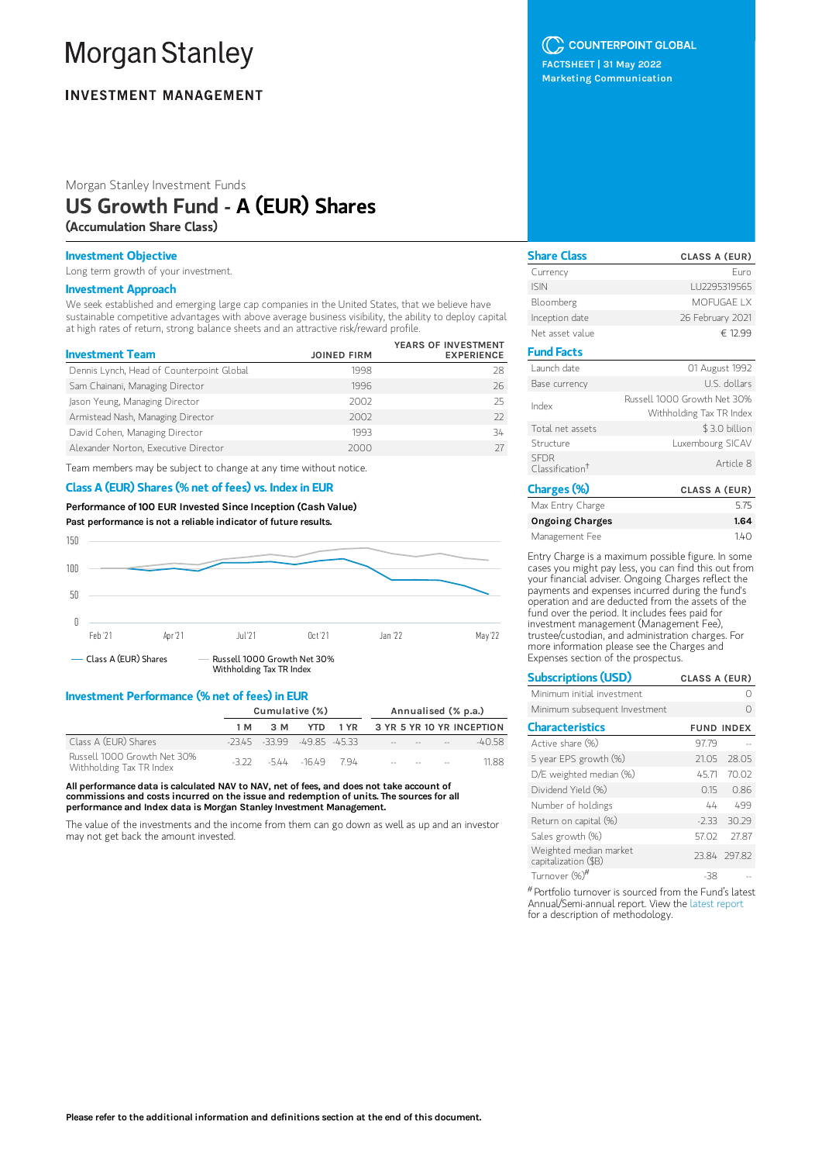# **Morgan Stanley**

## **INVESTMENT MANAGEMENT**

Morgan Stanley Investment Funds

## US Growth Fund - A (EUR) Shares

(Accumulation Share Class)

## Investment Objective

Long term growth of your investment.

## Investment Approach

We seek established and emerging large cap companies in the United States, that we believe have sustainable competitive advantages with above average business visibility, the ability to deploy capital at high rates of return, strong balance sheets and an attractive risk/reward profile.

| <b>Investment Team</b>                    | <b>JOINED FIRM</b> | YEARS OF INVESTMENT<br><b>EXPERIENCE</b> |
|-------------------------------------------|--------------------|------------------------------------------|
| Dennis Lynch, Head of Counterpoint Global | 1998               | 28                                       |
| Sam Chainani, Managing Director           | 1996               | 26                                       |
| Jason Yeung, Managing Director            | 2002               | 25                                       |
| Armistead Nash, Managing Director         | 2002               | 77                                       |
| David Cohen, Managing Director            | 1993               | 34                                       |
| Alexander Norton, Executive Director      | 2000               |                                          |

Team members may be subject to change at any time without notice.

## Class A (EUR) Shares (% net of fees) vs. Index in EUR

Performance of 100 EUR Invested Since Inception (Cash Value) Past performance is not a reliable indicator of future results.



### Investment Performance (% net of fees) in EUR

|                                                         | Cumulative (%) |                                 | Annualised (% p.a.) |  |  |                                   |  |                                |
|---------------------------------------------------------|----------------|---------------------------------|---------------------|--|--|-----------------------------------|--|--------------------------------|
|                                                         | 1 M            | 3 M                             | YTD.                |  |  |                                   |  | 1 YR 3 YR 5 YR 10 YR INCEPTION |
| Class A (EUR) Shares                                    |                | $-2345 - 3399 - 4985 - 4533$    |                     |  |  |                                   |  | $-4058$                        |
| Russell 1000 Growth Net 30%<br>Withholding Tax TR Index |                | $-3.22$ $-5.44$ $-16.49$ $7.94$ |                     |  |  | the control of the control of the |  | 1188                           |

All performance data is calculated NAV to NAV, net of fees, and does not take account of commissions and costs incurred on the issue and redemption of units. The sources for all performance and Index data is Morgan Stanley Investment Management.

The value of the investments and the income from them can go down as well as up and an investor may not get back the amount invested.

## C COUNTERPOINT GLOBAL

FACTSHEET | 31 May 2022 Marketing Communication

| <b>Share Class</b>                         | CLASS A (EUR)                                           |
|--------------------------------------------|---------------------------------------------------------|
| Currency                                   | Furo                                                    |
| <b>ISIN</b>                                | LU2295319565                                            |
| Bloomberg                                  | MOFUGAF I X                                             |
| Inception date                             | 26 February 2021                                        |
| Net asset value                            | € 12.99                                                 |
| <b>Fund Facts</b>                          |                                                         |
| Launch date                                | 01 August 1992                                          |
| Base currency                              | U.S. dollars                                            |
| Index                                      | Russell 1000 Growth Net 30%<br>Withholding Tax TR Index |
| Total net assets                           | \$3.0 billion                                           |
| Structure                                  | Luxembourg SICAV                                        |
| <b>SEDR</b><br>Classification <sup>†</sup> | Article 8                                               |
| Charges (%)                                | CLASS A (EUR)                                           |

| Max Entry Charge | 5.75 |
|------------------|------|
| Ongoing Charges  | 1.64 |
| Management Fee   | 140  |

Entry Charge is a maximum possible figure. In some cases you might pay less, you can find this out from your financial adviser. Ongoing Charges reflect the payments and expenses incurred during the fund's operation and are deducted from the assets of the fund over the period. It includes fees paid for investment management (Management Fee), trustee/custodian, and administration charges. For more information please see the Charges and Expenses section of the prospectus.

| <b>Subscriptions (USD)</b>                     | CLASS A (EUR) |                   |
|------------------------------------------------|---------------|-------------------|
| Minimum initial investment                     |               |                   |
| Minimum subsequent Investment                  |               |                   |
| <b>Characteristics</b>                         |               | <b>FUND INDEX</b> |
| Active share (%)                               | 97.79         |                   |
| 5 year EPS growth (%)                          | 21.05         | 28.05             |
| D/E weighted median (%)                        | 45.71         | 70.02             |
| Dividend Yield (%)                             | 0.15          | 0.86              |
| Number of holdings                             | 44            | 499               |
| Return on capital (%)                          | $-2.33$       | 30.29             |
| Sales growth (%)                               | 57.02         | 27.87             |
| Weighted median market<br>capitalization (\$B) |               | 23.84 297.82      |
| Turnover (%) <sup>#</sup>                      | -38           |                   |

 $^{\#}$ Portfolio turnover is sourced from the Fund's latest Annual/Semi-annual report. View the latest [report](https://www.morganstanley.com/im/msinvf/index.html) for a description of methodology.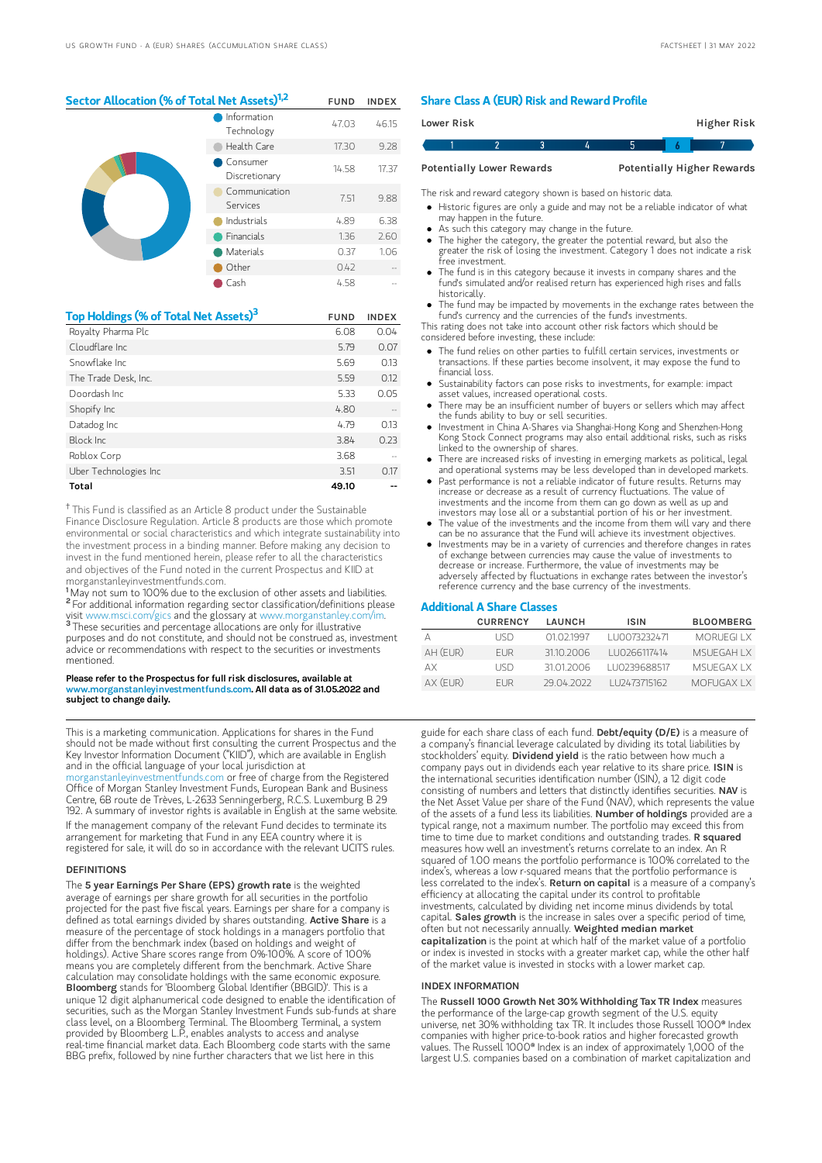## Sector Allocation (% of Total Net Assets)<sup>1,2</sup> FUND INDEX

| Information<br>Technology | 47.03 | 46.15 |
|---------------------------|-------|-------|
| Health Care               | 17.30 | 9.28  |
| Consumer<br>Discretionary | 14.58 | 17.37 |
| Communication<br>Services | 7.51  | 9.88  |
| Industrials               | 4.89  | 6.38  |
| <b>Financials</b>         | 1.36  | 2.60  |
| Materials                 | 0.37  | 1.06  |
| Other                     | 0.42  |       |
| Cash                      | 4.58  |       |

| Top Holdings (% of Total Net Assets) <sup>3</sup> | <b>FUND</b> | <b>INDEX</b> |
|---------------------------------------------------|-------------|--------------|
| Royalty Pharma Plc                                | 6.08        | 0.04         |
| Cloudflare Inc.                                   | 5.79        | 0.07         |
| Snowflake Inc.                                    | 5.69        | 0.13         |
| The Trade Desk, Inc.                              | 5.59        | 0.12         |
| Doordash Inc.                                     | 5.33        | 0.05         |
| Shopify Inc                                       | 4.80        |              |
| Datadog Inc                                       | 4.79        | 0.13         |
| Block Inc.                                        | 3.84        | 0.23         |
| Roblox Corp                                       | 3.68        |              |
| Uber Technologies Inc                             | 3.51        | 0.17         |
| Total                                             | 49.10       |              |

<sup>†</sup> This Fund is classified as an Article 8 product under the Sustainable Finance Disclosure Regulation. Article 8 products are those which promote environmental or social characteristics and which integrate sustainability into the investment process in a binding manner. Before making any decision to invest in the fund mentioned herein, please refer to all the characteristics and objectives of the Fund noted in the current Prospectus and KIID at morganstanleyinvestmentfunds.com.

<sup>1</sup>May not sum to 100% due to the exclusion of other assets and liabilities. <sup>2</sup> For additional information regarding sector classification/definitions please visit www.msci.com/gics and the glossary at www.morganstanley.com/im. <sup>3</sup> These securities and percentage allocations are only for illustrative purposes and do not constitute, and should not be construed as, investment advice or recommendations with respect to the securities or investments mentioned.

#### Please refer to the Prospectus for full risk disclosures, available at w.morganstanleyinvestmentfunds.com. All data as of 31.05.2022 and subject to change daily.

This is a marketing communication. Applications for shares in the Fund should not be made without first consulting the current Prospectus and the Key Investor Information Document ("KIID"), which are available in English and in the official language of your local jurisdiction at

[morganstanleyinvestmentfunds.com](https://www.morganstanley.com/im/msinvf/index.html) or free of charge from the Registered Office of Morgan Stanley Investment Funds, European Bank and Business Centre, 6B route de Trèves, L-2633 Senningerberg, R.C.S. Luxemburg B 29 192. A summary of investor rights is available in English at the same website. If the management company of the relevant Fund decides to terminate its arrangement for marketing that Fund in any EEA country where it is registered for sale, it will do so in accordance with the relevant UCITS rules.

#### DEFINITIONS

The 5 year Earnings Per Share (EPS) growth rate is the weighted average of earnings per share growth for all securities in the portfolio projected for the past five fiscal years. Earnings per share for a company is defined as total earnings divided by shares outstanding. Active Share is a measure of the percentage of stock holdings in a managers portfolio that differ from the benchmark index (based on holdings and weight of holdings). Active Share scores range from 0%-100%. A score of 100% means you are completely different from the benchmark. Active Share calculation may consolidate holdings with the same economic exposure. Bloomberg stands for 'Bloomberg Global Identifier (BBGID)'. This is a unique 12 digit alphanumerical code designed to enable the identification of securities, such as the Morgan Stanley Investment Funds sub-funds at share class level, on a Bloomberg Terminal. The Bloomberg Terminal, a system provided by Bloomberg L.P., enables analysts to access and analyse real-time financial market data. Each Bloomberg code starts with the same BBG prefix, followed by nine further characters that we list here in this

#### Share Class A (EUR) Risk and Reward Profile

| Lower Risk |                                  |  |  | Higher Risk                       |  |
|------------|----------------------------------|--|--|-----------------------------------|--|
|            |                                  |  |  |                                   |  |
|            | <b>Potentially Lower Rewards</b> |  |  | <b>Potentially Higher Rewards</b> |  |

The risk and reward category shown is based on historic data.

Historic figures are only a guide and may not be a reliable indicator of what

- may happen in the future. As such this category may change in the future.
- The higher the category, the greater the potential reward, but also the
- greater the risk of losing the investment. Category 1 does not indicate a risk free investment.
- The fund is in this category because it invests in company shares and the fund's simulated and/or realised return has experienced high rises and falls historically.
- The fund may be impacted by movements in the exchange rates between the fund's currency and the currencies of the fund's investments.

This rating does not take into account other risk factors which should be considered before investing, these include:

- The fund relies on other parties to fulfill certain services, investments or transactions. If these parties become insolvent, it may expose the fund to financial loss.
- Sustainability factors can pose risks to investments, for example: impact asset values, increased operational costs.
- There may be an insufficient number of buyers or sellers which may affect the funds ability to buy or sell securities.
- Investment in China A-Shares via Shanghai-Hong Kong and Shenzhen-Hong Kong Stock Connect programs may also entail additional risks, such as risks linked to the ownership of shares.
- There are increased risks of investing in emerging markets as political, legal and operational systems may be less developed than in developed markets.
- Past performance is not a reliable indicator of future results. Returns may increase or decrease as a result of currency fluctuations. The value of investments and the income from them can go down as well as up and investors may lose all or a substantial portion of his or her investment.
- The value of the investments and the income from them will vary and there can be no assurance that the Fund will achieve its investment objectives.
- Investments may be in a variety of currencies and therefore changes in rates of exchange between currencies may cause the value of investments to decrease or increase. Furthermore, the value of investments may be adversely affected by fluctuations in exchange rates between the investor's reference currency and the base currency of the investments.

#### Additional A Share Classes

| 1110073232471 | <b>MORUEGLIX</b>    |
|---------------|---------------------|
|               |                     |
| LU0266117414  | <b>MSLIEGAH I X</b> |
| 1110239688517 | MSLIEGAX I X        |
|               | <b>MOFUGAXIX</b>    |
|               | 1112473715162       |

guide for each share class of each fund. Debt/equity (D/E) is a measure of a company's financial leverage calculated by dividing its total liabilities by stockholders' equity. Dividend yield is the ratio between how much a company pays out in dividends each year relative to its share price. ISIN is the international securities identification number (ISIN), a 12 digit code consisting of numbers and letters that distinctly identifies securities. NAV is the Net Asset Value per share of the Fund (NAV), which represents the value of the assets of a fund less its liabilities. Number of holdings provided are a typical range, not a maximum number. The portfolio may exceed this from time to time due to market conditions and outstanding trades. R squared measures how well an investment's returns correlate to an index. An R squared of 1.00 means the portfolio performance is 100% correlated to the index's, whereas a low r-squared means that the portfolio performance is less correlated to the index's. Return on capital is a measure of a company's efficiency at allocating the capital under its control to profitable investments, calculated by dividing net income minus dividends by total capital. Sales growth is the increase in sales over a specific period of time, often but not necessarily annually. Weighted median market capitalization is the point at which half of the market value of a portfolio or index is invested in stocks with a greater market cap, while the other half of the market value is invested in stocks with a lower market cap.

#### INDEX INFORMATION

The Russell 1000 Growth Net 30% Withholding Tax TR Index measures the performance of the large-cap growth segment of the U.S. equity universe, net 30% withholding tax TR. It includes those Russell 1000® Index companies with higher price-to-book ratios and higher forecasted growth values. The Russell 1000® Index is an index of approximately 1,000 of the largest U.S. companies based on a combination of market capitalization and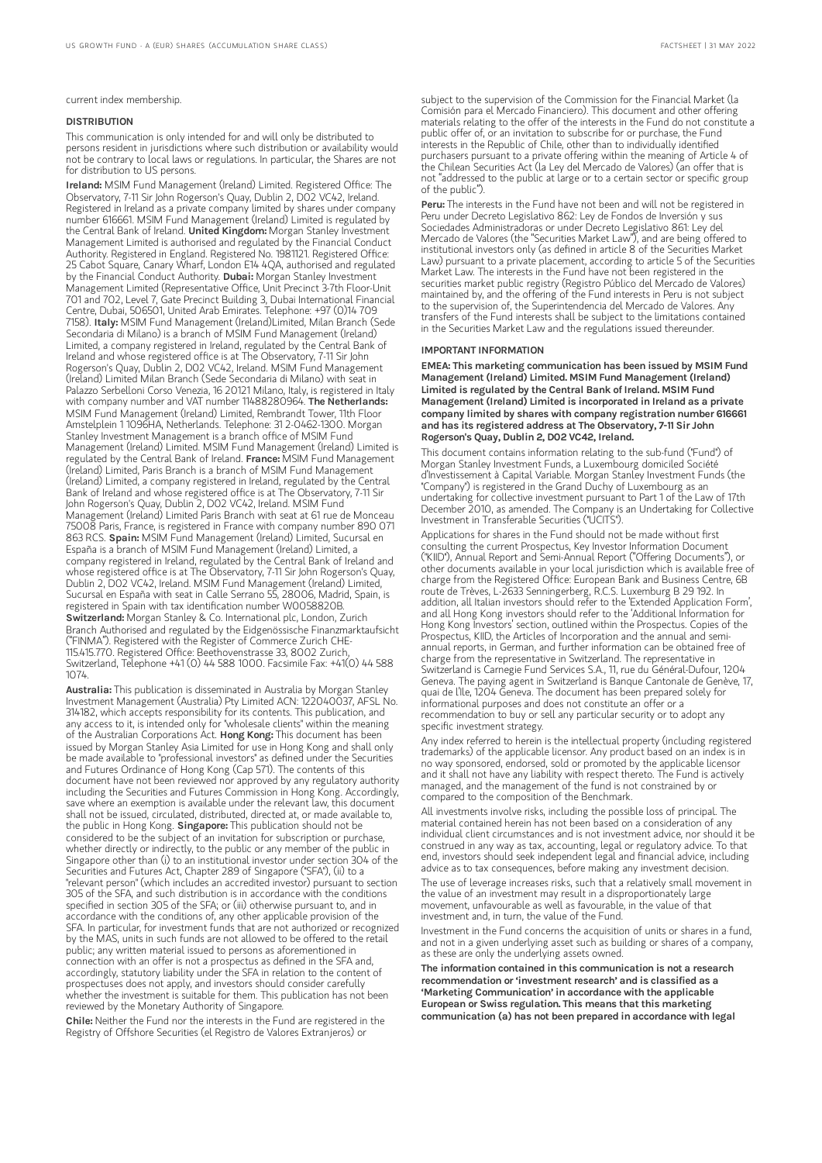current index membership.

#### DISTRIBUTION

This communication is only intended for and will only be distributed to persons resident in jurisdictions where such distribution or availability would not be contrary to local laws or regulations. In particular, the Shares are not for distribution to US persons.

Ireland: MSIM Fund Management (Ireland) Limited. Registered Office: The Observatory, 7-11 Sir John Rogerson's Quay, Dublin 2, D02 VC42, Ireland. Registered in Ireland as a private company limited by shares under company number 616661. MSIM Fund Management (Ireland) Limited is regulated by the Central Bank of Ireland. United Kingdom: Morgan Stanley Investment Management Limited is authorised and regulated by the Financial Conduct Authority. Registered in England. Registered No. 1981121. Registered Office: 25 Cabot Square, Canary Wharf, London E14 4QA, authorised and regulated by the Financial Conduct Authority. Dubai: Morgan Stanley Investment Management Limited (Representative Office, Unit Precinct 3-7th Floor-Unit 701 and 702, Level 7, Gate Precinct Building 3, Dubai International Financial Centre, Dubai, 506501, United Arab Emirates. Telephone: +97 (0)14 709 7158). Italy: MSIM Fund Management (Ireland)Limited, Milan Branch (Sede Secondaria di Milano) is a branch of MSIM Fund Management (Ireland) Limited, a company registered in Ireland, regulated by the Central Bank of Ireland and whose registered office is at The Observatory, 7-11 Sir John Rogerson's Quay, Dublin 2, D02 VC42, Ireland. MSIM Fund Management (Ireland) Limited Milan Branch (Sede Secondaria di Milano) with seat in Palazzo Serbelloni Corso Venezia, 16 20121 Milano, Italy, is registered in Italy with company number and VAT number 11488280964. The Netherlands: MSIM Fund Management (Ireland) Limited, Rembrandt Tower, 11th Floor Amstelplein 1 1096HA, Netherlands. Telephone: 31 2-0462-1300. Morgan Stanley Investment Management is a branch office of MSIM Fund Management (Ireland) Limited. MSIM Fund Management (Ireland) Limited is regulated by the Central Bank of Ireland. France: MSIM Fund Management (Ireland) Limited, Paris Branch is a branch of MSIM Fund Management (Ireland) Limited, a company registered in Ireland, regulated by the Central Bank of Ireland and whose registered office is at The Observatory, 7-11 Sir John Rogerson's Quay, Dublin 2, D02 VC42, Ireland. MSIM Fund Management (Ireland) Limited Paris Branch with seat at 61 rue de Monceau 75008 Paris, France, is registered in France with company number 890 071 863 RCS. Spain: MSIM Fund Management (Ireland) Limited, Sucursal en España is a branch of MSIM Fund Management (Ireland) Limited, a company registered in Ireland, regulated by the Central Bank of Ireland and whose registered office is at The Observatory, 7-11 Sir John Rogerson's Quay, Dublin 2, D02 VC42, Ireland. MSIM Fund Management (Ireland) Limited, Sucursal en España with seat in Calle Serrano 55, 28006, Madrid, Spain, is registered in Spain with tax identification number W0058820B. Switzerland: Morgan Stanley & Co. International plc, London, Zurich Branch Authorised and regulated by the Eidgenössische Finanzmarktaufsicht ("FINMA"). Registered with the Register of Commerce Zurich CHE-115.415.770. Registered Office: Beethovenstrasse 33, 8002 Zurich, Switzerland, Telephone +41 (0) 44 588 1000. Facsimile Fax: +41(0) 44 588 1074.

Australia: This publication is disseminated in Australia by Morgan Stanley Investment Management (Australia) Pty Limited ACN: 122040037, AFSL No. 314182, which accepts responsibility for its contents. This publication, and any access to it, is intended only for "wholesale clients" within the meaning<br>of the Australian Corporations Act. **Hong Kong:** This document has been issued by Morgan Stanley Asia Limited for use in Hong Kong and shall only be made available to "professional investors" as defined under the Securities and Futures Ordinance of Hong Kong (Cap 571). The contents of this document have not been reviewed nor approved by any regulatory authority including the Securities and Futures Commission in Hong Kong. Accordingly, save where an exemption is available under the relevant law, this document shall not be issued, circulated, distributed, directed at, or made available to, the public in Hong Kong. Singapore: This publication should not be considered to be the subject of an invitation for subscription or purchase, whether directly or indirectly, to the public or any member of the public in Singapore other than (i) to an institutional investor under section 304 of the Securities and Futures Act, Chapter 289 of Singapore ("SFA"), (ii) to a "relevant person" (which includes an accredited investor) pursuant to section 305 of the SFA, and such distribution is in accordance with the conditions specified in section 305 of the SFA; or (iii) otherwise pursuant to, and in accordance with the conditions of, any other applicable provision of the SFA. In particular, for investment funds that are not authorized or recognized by the MAS, units in such funds are not allowed to be offered to the retail public; any written material issued to persons as aforementioned in connection with an offer is not a prospectus as defined in the SFA and, accordingly, statutory liability under the SFA in relation to the content of prospectuses does not apply, and investors should consider carefully whether the investment is suitable for them. This publication has not been reviewed by the Monetary Authority of Singapore.

Chile: Neither the Fund nor the interests in the Fund are registered in the Registry of Offshore Securities (el Registro de Valores Extranjeros) or

subject to the supervision of the Commission for the Financial Market (la Comisión para el Mercado Financiero). This document and other offering materials relating to the offer of the interests in the Fund do not constitute a public offer of, or an invitation to subscribe for or purchase, the Fund interests in the Republic of Chile, other than to individually identified purchasers pursuant to a private offering within the meaning of Article 4 of the Chilean Securities Act (la Ley del Mercado de Valores) (an offer that is not "addressed to the public at large or to a certain sector or specific group of the public").

Peru: The interests in the Fund have not been and will not be registered in Peru under Decreto Legislativo 862: Ley de Fondos de Inversión y sus Sociedades Administradoras or under Decreto Legislativo 861: Ley del Mercado de Valores (the "Securities Market Law"), and are being offered to institutional investors only (as defined in article 8 of the Securities Market Law) pursuant to a private placement, according to article 5 of the Securities Market Law. The interests in the Fund have not been registered in the securities market public registry (Registro Público del Mercado de Valores) maintained by, and the offering of the Fund interests in Peru is not subject to the supervision of, the Superintendencia del Mercado de Valores. Any transfers of the Fund interests shall be subject to the limitations contained in the Securities Market Law and the regulations issued thereunder.

#### IMPORTANT INFORMATION

EMEA: This marketing communication has been issued by MSIM Fund Management (Ireland) Limited. MSIM Fund Management (Ireland) Limited is regulated by the Central Bank of Ireland. MSIM Fund Management (Ireland) Limited is incorporated in Ireland as a private company limited by shares with company registration number 616661 and has its registered address at The Observatory, 7-11 Sir John Rogerson's Quay, Dublin 2, D02 VC42, Ireland.

This document contains information relating to the sub-fund ("Fund") of Morgan Stanley Investment Funds, a Luxembourg domiciled Société d'Investissement à Capital Variable. Morgan Stanley Investment Funds (the "Company") is registered in the Grand Duchy of Luxembourg as an undertaking for collective investment pursuant to Part 1 of the Law of 17th December 2010, as amended. The Company is an Undertaking for Collective Investment in Transferable Securities ("UCITS").

Applications for shares in the Fund should not be made without first consulting the current Prospectus, Key Investor Information Document ("KIID"), Annual Report and Semi-Annual Report ("Offering Documents"), or other documents available in your local jurisdiction which is available free of charge from the Registered Office: European Bank and Business Centre, 6B route de Trèves, L-2633 Senningerberg, R.C.S. Luxemburg B 29 192. In addition, all Italian investors should refer to the 'Extended Application Form', and all Hong Kong investors should refer to the 'Additional Information for Hong Kong Investors' section, outlined within the Prospectus. Copies of the Prospectus, KIID, the Articles of Incorporation and the annual and semiannual reports, in German, and further information can be obtained free of charge from the representative in Switzerland. The representative in Switzerland is Carnegie Fund Services S.A., 11, rue du Général-Dufour, 1204 Geneva. The paying agent in Switzerland is Banque Cantonale de Genève, 17, quai de l'Ile, 1204 Geneva. The document has been prepared solely for informational purposes and does not constitute an offer or a recommendation to buy or sell any particular security or to adopt any specific investment strategy.

Any index referred to herein is the intellectual property (including registered trademarks) of the applicable licensor. Any product based on an index is in no way sponsored, endorsed, sold or promoted by the applicable licensor and it shall not have any liability with respect thereto. The Fund is actively managed, and the management of the fund is not constrained by or compared to the composition of the Benchmark.

All investments involve risks, including the possible loss of principal. The material contained herein has not been based on a consideration of any individual client circumstances and is not investment advice, nor should it be construed in any way as tax, accounting, legal or regulatory advice. To that end, investors should seek independent legal and financial advice, including advice as to tax consequences, before making any investment decision.

The use of leverage increases risks, such that a relatively small movement in the value of an investment may result in a disproportionately large movement, unfavourable as well as favourable, in the value of that investment and, in turn, the value of the Fund.

Investment in the Fund concerns the acquisition of units or shares in a fund, and not in a given underlying asset such as building or shares of a company, as these are only the underlying assets owned.

The information contained in this communication is not a research recommendation or 'investment research' and is classified as a 'Marketing Communication' in accordance with the applicable European or Swiss regulation. This means that this marketing communication (a) has not been prepared in accordance with legal